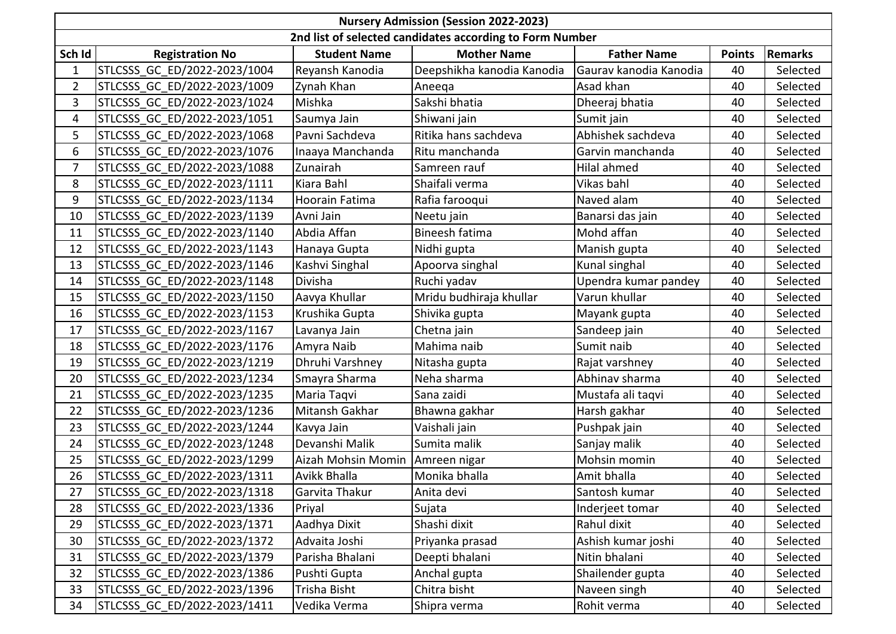| <b>Nursery Admission (Session 2022-2023)</b>             |                              |                     |                            |                        |               |                |  |  |  |  |  |
|----------------------------------------------------------|------------------------------|---------------------|----------------------------|------------------------|---------------|----------------|--|--|--|--|--|
| 2nd list of selected candidates according to Form Number |                              |                     |                            |                        |               |                |  |  |  |  |  |
| Sch Id                                                   | <b>Registration No</b>       | <b>Student Name</b> | <b>Mother Name</b>         | <b>Father Name</b>     | <b>Points</b> | <b>Remarks</b> |  |  |  |  |  |
| 1                                                        | STLCSSS GC ED/2022-2023/1004 | Reyansh Kanodia     | Deepshikha kanodia Kanodia | Gaurav kanodia Kanodia | 40            | Selected       |  |  |  |  |  |
| $\overline{2}$                                           | STLCSSS GC ED/2022-2023/1009 | Zynah Khan          | Aneeqa                     | Asad khan              | 40            | Selected       |  |  |  |  |  |
| 3                                                        | STLCSSS GC ED/2022-2023/1024 | Mishka              | Sakshi bhatia              | Dheeraj bhatia         | 40            | Selected       |  |  |  |  |  |
| 4                                                        | STLCSSS GC ED/2022-2023/1051 | Saumya Jain         | Shiwani jain               | Sumit jain             | 40            | Selected       |  |  |  |  |  |
| 5                                                        | STLCSSS GC ED/2022-2023/1068 | Pavni Sachdeva      | Ritika hans sachdeva       | Abhishek sachdeva      | 40            | Selected       |  |  |  |  |  |
| 6                                                        | STLCSSS GC ED/2022-2023/1076 | Inaaya Manchanda    | Ritu manchanda             | Garvin manchanda       | 40            | Selected       |  |  |  |  |  |
| $\overline{7}$                                           | STLCSSS GC ED/2022-2023/1088 | Zunairah            | Samreen rauf               | Hilal ahmed            | 40            | Selected       |  |  |  |  |  |
| 8                                                        | STLCSSS GC ED/2022-2023/1111 | Kiara Bahl          | Shaifali verma             | Vikas bahl             | 40            | Selected       |  |  |  |  |  |
| 9                                                        | STLCSSS GC ED/2022-2023/1134 | Hoorain Fatima      | Rafia farooqui             | Naved alam             | 40            | Selected       |  |  |  |  |  |
| 10                                                       | STLCSSS GC ED/2022-2023/1139 | Avni Jain           | Neetu jain                 | Banarsi das jain       | 40            | Selected       |  |  |  |  |  |
| 11                                                       | STLCSSS GC ED/2022-2023/1140 | Abdia Affan         | Bineesh fatima             | Mohd affan             | 40            | Selected       |  |  |  |  |  |
| 12                                                       | STLCSSS GC ED/2022-2023/1143 | Hanaya Gupta        | Nidhi gupta                | Manish gupta           | 40            | Selected       |  |  |  |  |  |
| 13                                                       | STLCSSS GC ED/2022-2023/1146 | Kashvi Singhal      | Apoorva singhal            | Kunal singhal          | 40            | Selected       |  |  |  |  |  |
| 14                                                       | STLCSSS GC ED/2022-2023/1148 | Divisha             | Ruchi yadav                | Upendra kumar pandey   | 40            | Selected       |  |  |  |  |  |
| 15                                                       | STLCSSS GC ED/2022-2023/1150 | Aavya Khullar       | Mridu budhiraja khullar    | Varun khullar          | 40            | Selected       |  |  |  |  |  |
| 16                                                       | STLCSSS GC ED/2022-2023/1153 | Krushika Gupta      | Shivika gupta              | Mayank gupta           | 40            | Selected       |  |  |  |  |  |
| 17                                                       | STLCSSS GC ED/2022-2023/1167 | Lavanya Jain        | Chetna jain                | Sandeep jain           | 40            | Selected       |  |  |  |  |  |
| 18                                                       | STLCSSS GC ED/2022-2023/1176 | Amyra Naib          | Mahima naib                | Sumit naib             | 40            | Selected       |  |  |  |  |  |
| 19                                                       | STLCSSS GC ED/2022-2023/1219 | Dhruhi Varshney     | Nitasha gupta              | Rajat varshney         | 40            | Selected       |  |  |  |  |  |
| 20                                                       | STLCSSS GC ED/2022-2023/1234 | Smayra Sharma       | Neha sharma                | Abhinav sharma         | 40            | Selected       |  |  |  |  |  |
| 21                                                       | STLCSSS GC ED/2022-2023/1235 | Maria Taqvi         | Sana zaidi                 | Mustafa ali taqvi      | 40            | Selected       |  |  |  |  |  |
| 22                                                       | STLCSSS GC ED/2022-2023/1236 | Mitansh Gakhar      | Bhawna gakhar              | Harsh gakhar           | 40            | Selected       |  |  |  |  |  |
| 23                                                       | STLCSSS GC ED/2022-2023/1244 | Kavya Jain          | Vaishali jain              | Pushpak jain           | 40            | Selected       |  |  |  |  |  |
| 24                                                       | STLCSSS GC ED/2022-2023/1248 | Devanshi Malik      | Sumita malik               | Sanjay malik           | 40            | Selected       |  |  |  |  |  |
| 25                                                       | STLCSSS GC ED/2022-2023/1299 | Aizah Mohsin Momin  | Amreen nigar               | Mohsin momin           | 40            | Selected       |  |  |  |  |  |
| 26                                                       | STLCSSS GC ED/2022-2023/1311 | <b>Avikk Bhalla</b> | Monika bhalla              | Amit bhalla            | 40            | Selected       |  |  |  |  |  |
| 27                                                       | STLCSSS GC ED/2022-2023/1318 | Garvita Thakur      | Anita devi                 | Santosh kumar          | 40            | Selected       |  |  |  |  |  |
| 28                                                       | STLCSSS GC ED/2022-2023/1336 | Priyal              | Sujata                     | Inderjeet tomar        | 40            | Selected       |  |  |  |  |  |
| 29                                                       | STLCSSS GC ED/2022-2023/1371 | Aadhya Dixit        | Shashi dixit               | Rahul dixit            | 40            | Selected       |  |  |  |  |  |
| 30                                                       | STLCSSS GC ED/2022-2023/1372 | Advaita Joshi       | Priyanka prasad            | Ashish kumar joshi     | 40            | Selected       |  |  |  |  |  |
| 31                                                       | STLCSSS GC ED/2022-2023/1379 | Parisha Bhalani     | Deepti bhalani             | Nitin bhalani          | 40            | Selected       |  |  |  |  |  |
| 32                                                       | STLCSSS GC ED/2022-2023/1386 | Pushti Gupta        | Anchal gupta               | Shailender gupta       | 40            | Selected       |  |  |  |  |  |
| 33                                                       | STLCSSS GC ED/2022-2023/1396 | Trisha Bisht        | Chitra bisht               | Naveen singh           | 40            | Selected       |  |  |  |  |  |
| 34                                                       | STLCSSS GC ED/2022-2023/1411 | Vedika Verma        | Shipra verma               | Rohit verma            | 40            | Selected       |  |  |  |  |  |